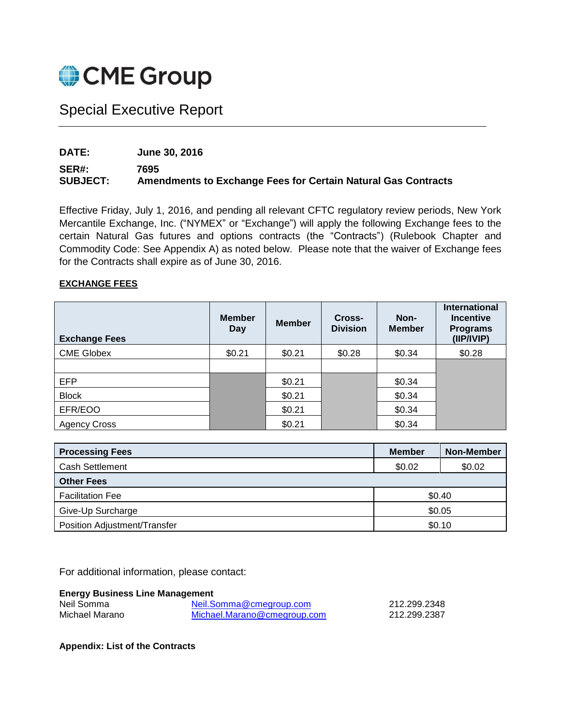

# Special Executive Report

## **DATE: June 30, 2016**

### **SER#: 7695 SUBJECT: Amendments to Exchange Fees for Certain Natural Gas Contracts**

Effective Friday, July 1, 2016, and pending all relevant CFTC regulatory review periods, New York Mercantile Exchange, Inc. ("NYMEX" or "Exchange") will apply the following Exchange fees to the certain Natural Gas futures and options contracts (the "Contracts") (Rulebook Chapter and Commodity Code: See Appendix A) as noted below. Please note that the waiver of Exchange fees for the Contracts shall expire as of June 30, 2016.

#### **EXCHANGE FEES**

| <b>Exchange Fees</b> | <b>Member</b><br><b>Day</b> | <b>Member</b> | Cross-<br><b>Division</b> | Non-<br><b>Member</b> | <b>International</b><br><b>Incentive</b><br><b>Programs</b><br>(IIP/IVIP) |
|----------------------|-----------------------------|---------------|---------------------------|-----------------------|---------------------------------------------------------------------------|
| <b>CME Globex</b>    | \$0.21                      | \$0.21        | \$0.28                    | \$0.34                | \$0.28                                                                    |
|                      |                             |               |                           |                       |                                                                           |
| <b>EFP</b>           |                             | \$0.21        |                           | \$0.34                |                                                                           |
| <b>Block</b>         |                             | \$0.21        |                           | \$0.34                |                                                                           |
| EFR/EOO              |                             | \$0.21        |                           | \$0.34                |                                                                           |
| <b>Agency Cross</b>  |                             | \$0.21        |                           | \$0.34                |                                                                           |

| <b>Processing Fees</b>            | <b>Member</b> | Non-Member |
|-----------------------------------|---------------|------------|
| <b>Cash Settlement</b>            | \$0.02        | \$0.02     |
| <b>Other Fees</b>                 |               |            |
| \$0.40<br><b>Facilitation Fee</b> |               |            |
| \$0.05<br>Give-Up Surcharge       |               |            |
| Position Adjustment/Transfer      | \$0.10        |            |

For additional information, please contact:

#### **Energy Business Line Management**

| Neil Somma     | Neil.Somma@cmegroup.com     | 212.299.2348 |
|----------------|-----------------------------|--------------|
| Michael Marano | Michael.Marano@cmegroup.com | 212.299.2387 |

**Appendix: List of the Contracts**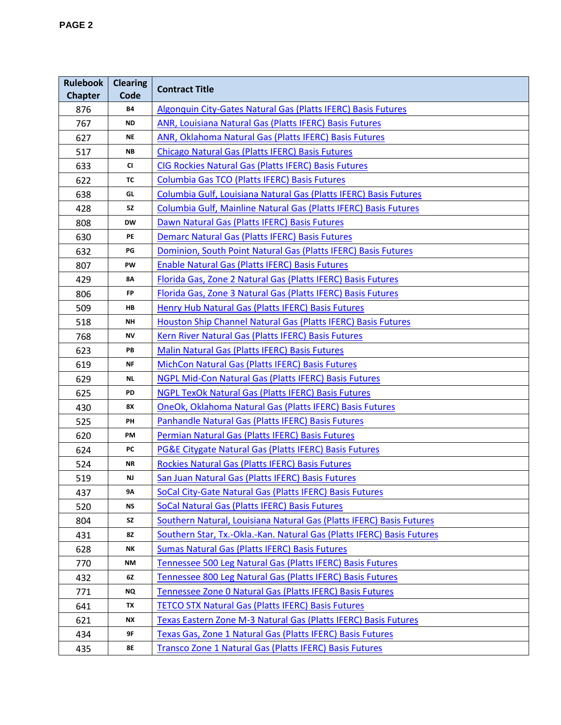| <b>Rulebook</b><br><b>Chapter</b> | <b>Clearing</b><br>Code    | <b>Contract Title</b>                                                  |
|-----------------------------------|----------------------------|------------------------------------------------------------------------|
| 876                               | <b>B4</b>                  | Algonquin City-Gates Natural Gas (Platts IFERC) Basis Futures          |
| 767                               | <b>ND</b>                  | ANR, Louisiana Natural Gas (Platts IFERC) Basis Futures                |
| 627                               | <b>NE</b>                  | ANR, Oklahoma Natural Gas (Platts IFERC) Basis Futures                 |
| 517                               | $\boldsymbol{\mathsf{NB}}$ | <b>Chicago Natural Gas (Platts IFERC) Basis Futures</b>                |
| 633                               | C1                         | <b>CIG Rockies Natural Gas (Platts IFERC) Basis Futures</b>            |
| 622                               | TC                         | Columbia Gas TCO (Platts IFERC) Basis Futures                          |
| 638                               | GL                         | Columbia Gulf, Louisiana Natural Gas (Platts IFERC) Basis Futures      |
| 428                               | <b>52</b>                  | Columbia Gulf, Mainline Natural Gas (Platts IFERC) Basis Futures       |
| 808                               | <b>DW</b>                  | Dawn Natural Gas (Platts IFERC) Basis Futures                          |
| 630                               | PE                         | <b>Demarc Natural Gas (Platts IFERC) Basis Futures</b>                 |
| 632                               | $\overline{\mathsf{PG}}$   | Dominion, South Point Natural Gas (Platts IFERC) Basis Futures         |
| 807                               | PW                         | <b>Enable Natural Gas (Platts IFERC) Basis Futures</b>                 |
| 429                               | 8Α                         | Florida Gas, Zone 2 Natural Gas (Platts IFERC) Basis Futures           |
| 806                               | FP                         | Florida Gas, Zone 3 Natural Gas (Platts IFERC) Basis Futures           |
| 509                               | HB                         | Henry Hub Natural Gas (Platts IFERC) Basis Futures                     |
| 518                               | <b>NH</b>                  | Houston Ship Channel Natural Gas (Platts IFERC) Basis Futures          |
| 768                               | ΝV                         | Kern River Natural Gas (Platts IFERC) Basis Futures                    |
| 623                               | PB                         | Malin Natural Gas (Platts IFERC) Basis Futures                         |
| 619                               | <b>NF</b>                  | MichCon Natural Gas (Platts IFERC) Basis Futures                       |
| 629                               | <b>NL</b>                  | NGPL Mid-Con Natural Gas (Platts IFERC) Basis Futures                  |
| 625                               | PD                         | <b>NGPL TexOk Natural Gas (Platts IFERC) Basis Futures</b>             |
| 430                               | 8X                         | OneOk, Oklahoma Natural Gas (Platts IFERC) Basis Futures               |
| 525                               | PH                         | Panhandle Natural Gas (Platts IFERC) Basis Futures                     |
| 620                               | PM                         | Permian Natural Gas (Platts IFERC) Basis Futures                       |
| 624                               | PC                         | <b>PG&amp;E Citygate Natural Gas (Platts IFERC) Basis Futures</b>      |
| 524                               | <b>NR</b>                  | Rockies Natural Gas (Platts IFERC) Basis Futures                       |
| 519                               | NJ                         | San Juan Natural Gas (Platts IFERC) Basis Futures                      |
| 437                               | 9Α                         | SoCal City-Gate Natural Gas (Platts IFERC) Basis Futures               |
| 520                               | <b>NS</b>                  | SoCal Natural Gas (Platts IFERC) Basis Futures                         |
| 804                               | SZ                         | Southern Natural, Louisiana Natural Gas (Platts IFERC) Basis Futures   |
| 431                               | 8Z                         | Southern Star, Tx.-Okla.-Kan. Natural Gas (Platts IFERC) Basis Futures |
| 628                               | NΚ                         | <b>Sumas Natural Gas (Platts IFERC) Basis Futures</b>                  |
| 770                               | ΝM                         | Tennessee 500 Leg Natural Gas (Platts IFERC) Basis Futures             |
| 432                               | 6Z                         | Tennessee 800 Leg Natural Gas (Platts IFERC) Basis Futures             |
| 771                               | <b>NQ</b>                  | Tennessee Zone 0 Natural Gas (Platts IFERC) Basis Futures              |
| 641                               | TX                         | <b>TETCO STX Natural Gas (Platts IFERC) Basis Futures</b>              |
| 621                               | <b>NX</b>                  | Texas Eastern Zone M-3 Natural Gas (Platts IFERC) Basis Futures        |
| 434                               | 9F                         | Texas Gas, Zone 1 Natural Gas (Platts IFERC) Basis Futures             |
| 435                               | 8E                         | Transco Zone 1 Natural Gas (Platts IFERC) Basis Futures                |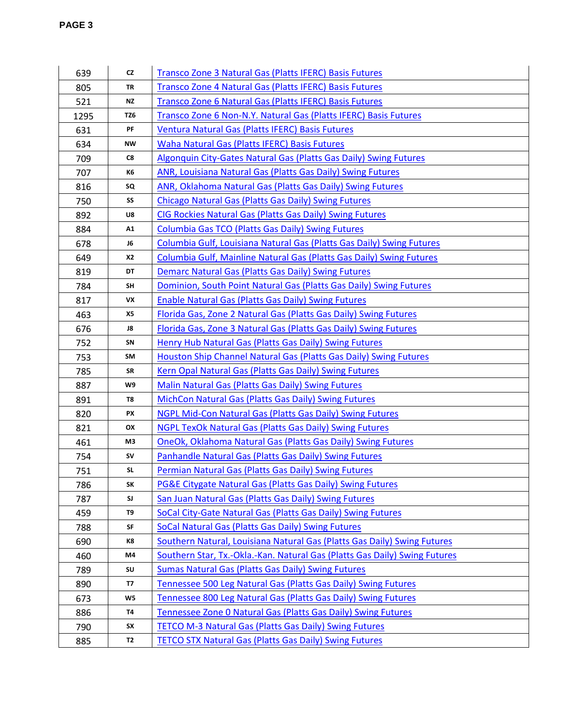| 639  | <b>CZ</b>      | <b>Transco Zone 3 Natural Gas (Platts IFERC) Basis Futures</b>             |
|------|----------------|----------------------------------------------------------------------------|
| 805  | TR             | Transco Zone 4 Natural Gas (Platts IFERC) Basis Futures                    |
| 521  | <b>NZ</b>      | Transco Zone 6 Natural Gas (Platts IFERC) Basis Futures                    |
| 1295 | TZ6            | Transco Zone 6 Non-N.Y. Natural Gas (Platts IFERC) Basis Futures           |
| 631  | PF             | Ventura Natural Gas (Platts IFERC) Basis Futures                           |
| 634  | NW             | Waha Natural Gas (Platts IFERC) Basis Futures                              |
| 709  | C8             | Algonquin City-Gates Natural Gas (Platts Gas Daily) Swing Futures          |
| 707  | K6             | <b>ANR, Louisiana Natural Gas (Platts Gas Daily) Swing Futures</b>         |
| 816  | SQ             | ANR, Oklahoma Natural Gas (Platts Gas Daily) Swing Futures                 |
| 750  | SS             | <b>Chicago Natural Gas (Platts Gas Daily) Swing Futures</b>                |
| 892  | U8             | CIG Rockies Natural Gas (Platts Gas Daily) Swing Futures                   |
| 884  | A1             | <b>Columbia Gas TCO (Platts Gas Daily) Swing Futures</b>                   |
| 678  | J6             | Columbia Gulf, Louisiana Natural Gas (Platts Gas Daily) Swing Futures      |
| 649  | X <sub>2</sub> | Columbia Gulf, Mainline Natural Gas (Platts Gas Daily) Swing Futures       |
| 819  | DT             | <b>Demarc Natural Gas (Platts Gas Daily) Swing Futures</b>                 |
| 784  | <b>SH</b>      | Dominion, South Point Natural Gas (Platts Gas Daily) Swing Futures         |
| 817  | VX             | <b>Enable Natural Gas (Platts Gas Daily) Swing Futures</b>                 |
| 463  | X5             | Florida Gas, Zone 2 Natural Gas (Platts Gas Daily) Swing Futures           |
| 676  | J8             | Florida Gas, Zone 3 Natural Gas (Platts Gas Daily) Swing Futures           |
| 752  | SN             | <b>Henry Hub Natural Gas (Platts Gas Daily) Swing Futures</b>              |
| 753  | SM             | Houston Ship Channel Natural Gas (Platts Gas Daily) Swing Futures          |
| 785  | SR             | Kern Opal Natural Gas (Platts Gas Daily) Swing Futures                     |
| 887  | W9             | Malin Natural Gas (Platts Gas Daily) Swing Futures                         |
| 891  | T8             | MichCon Natural Gas (Platts Gas Daily) Swing Futures                       |
| 820  | PX             | NGPL Mid-Con Natural Gas (Platts Gas Daily) Swing Futures                  |
| 821  | OX             | <b>NGPL TexOk Natural Gas (Platts Gas Daily) Swing Futures</b>             |
| 461  | M3             | OneOk, Oklahoma Natural Gas (Platts Gas Daily) Swing Futures               |
| 754  | <b>SV</b>      | Panhandle Natural Gas (Platts Gas Daily) Swing Futures                     |
| 751  | <b>SL</b>      | Permian Natural Gas (Platts Gas Daily) Swing Futures                       |
| 786  | SK             | PG&E Citygate Natural Gas (Platts Gas Daily) Swing Futures                 |
| 787  | SJ             | San Juan Natural Gas (Platts Gas Daily) Swing Futures                      |
| 459  | T9             | SoCal City-Gate Natural Gas (Platts Gas Daily) Swing Futures               |
| 788  | SF             | SoCal Natural Gas (Platts Gas Daily) Swing Futures                         |
| 690  | K8             | Southern Natural, Louisiana Natural Gas (Platts Gas Daily) Swing Futures   |
| 460  | M4             | Southern Star, Tx.-Okla.-Kan. Natural Gas (Platts Gas Daily) Swing Futures |
| 789  | SU             | <b>Sumas Natural Gas (Platts Gas Daily) Swing Futures</b>                  |
| 890  | <b>T7</b>      | Tennessee 500 Leg Natural Gas (Platts Gas Daily) Swing Futures             |
| 673  | W5             | Tennessee 800 Leg Natural Gas (Platts Gas Daily) Swing Futures             |
| 886  | <b>T4</b>      | Tennessee Zone 0 Natural Gas (Platts Gas Daily) Swing Futures              |
| 790  | SX             | <b>TETCO M-3 Natural Gas (Platts Gas Daily) Swing Futures</b>              |
| 885  | T2             | <b>TETCO STX Natural Gas (Platts Gas Daily) Swing Futures</b>              |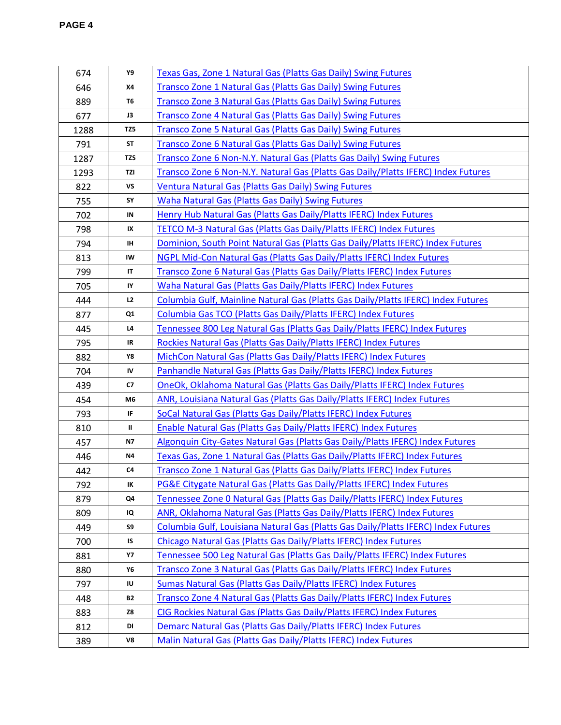| 674  | Y9                                | Texas Gas, Zone 1 Natural Gas (Platts Gas Daily) Swing Futures                     |
|------|-----------------------------------|------------------------------------------------------------------------------------|
| 646  | <b>X4</b>                         | <b>Transco Zone 1 Natural Gas (Platts Gas Daily) Swing Futures</b>                 |
| 889  | <b>T6</b>                         | Transco Zone 3 Natural Gas (Platts Gas Daily) Swing Futures                        |
| 677  | J3                                | Transco Zone 4 Natural Gas (Platts Gas Daily) Swing Futures                        |
| 1288 | TZ5                               | <b>Transco Zone 5 Natural Gas (Platts Gas Daily) Swing Futures</b>                 |
| 791  | <b>ST</b>                         | Transco Zone 6 Natural Gas (Platts Gas Daily) Swing Futures                        |
| 1287 | TZS                               | Transco Zone 6 Non-N.Y. Natural Gas (Platts Gas Daily) Swing Futures               |
| 1293 | TZI                               | Transco Zone 6 Non-N.Y. Natural Gas (Platts Gas Daily/Platts IFERC) Index Futures  |
| 822  | VS                                | <b>Ventura Natural Gas (Platts Gas Daily) Swing Futures</b>                        |
| 755  | SY                                | <b>Waha Natural Gas (Platts Gas Daily) Swing Futures</b>                           |
| 702  | IN                                | Henry Hub Natural Gas (Platts Gas Daily/Platts IFERC) Index Futures                |
| 798  | IX                                | TETCO M-3 Natural Gas (Platts Gas Daily/Platts IFERC) Index Futures                |
| 794  | IH                                | Dominion, South Point Natural Gas (Platts Gas Daily/Platts IFERC) Index Futures    |
| 813  | IW                                | NGPL Mid-Con Natural Gas (Platts Gas Daily/Platts IFERC) Index Futures             |
| 799  | $\mathsf{I}\mathsf{T}$            | Transco Zone 6 Natural Gas (Platts Gas Daily/Platts IFERC) Index Futures           |
| 705  | IY                                | Waha Natural Gas (Platts Gas Daily/Platts IFERC) Index Futures                     |
| 444  | L2                                | Columbia Gulf, Mainline Natural Gas (Platts Gas Daily/Platts IFERC) Index Futures  |
| 877  | Q1                                | Columbia Gas TCO (Platts Gas Daily/Platts IFERC) Index Futures                     |
| 445  | L4                                | Tennessee 800 Leg Natural Gas (Platts Gas Daily/Platts IFERC) Index Futures        |
| 795  | $\ensuremath{\mathsf{IR}}\xspace$ | Rockies Natural Gas (Platts Gas Daily/Platts IFERC) Index Futures                  |
| 882  | Y8                                | MichCon Natural Gas (Platts Gas Daily/Platts IFERC) Index Futures                  |
| 704  | IV                                | Panhandle Natural Gas (Platts Gas Daily/Platts IFERC) Index Futures                |
| 439  | C7                                | <b>OneOk, Oklahoma Natural Gas (Platts Gas Daily/Platts IFERC) Index Futures</b>   |
| 454  | M6                                | ANR, Louisiana Natural Gas (Platts Gas Daily/Platts IFERC) Index Futures           |
| 793  | IF                                | SoCal Natural Gas (Platts Gas Daily/Platts IFERC) Index Futures                    |
| 810  | $\mathbf H$                       | <b>Enable Natural Gas (Platts Gas Daily/Platts IFERC) Index Futures</b>            |
| 457  | <b>N7</b>                         | Algonquin City-Gates Natural Gas (Platts Gas Daily/Platts IFERC) Index Futures     |
| 446  | <b>N4</b>                         | Texas Gas, Zone 1 Natural Gas (Platts Gas Daily/Platts IFERC) Index Futures        |
| 442  | C <sub>4</sub>                    | Transco Zone 1 Natural Gas (Platts Gas Daily/Platts IFERC) Index Futures           |
| 792  | IK                                | PG&E Citygate Natural Gas (Platts Gas Daily/Platts IFERC) Index Futures            |
| 879  | Q4                                | Tennessee Zone 0 Natural Gas (Platts Gas Daily/Platts IFERC) Index Futures         |
| 809  | IQ                                | ANR, Oklahoma Natural Gas (Platts Gas Daily/Platts IFERC) Index Futures            |
| 449  | S9                                | Columbia Gulf, Louisiana Natural Gas (Platts Gas Daily/Platts IFERC) Index Futures |
| 700  | IS                                | Chicago Natural Gas (Platts Gas Daily/Platts IFERC) Index Futures                  |
| 881  | <b>Y7</b>                         | Tennessee 500 Leg Natural Gas (Platts Gas Daily/Platts IFERC) Index Futures        |
| 880  | Υ6                                | Transco Zone 3 Natural Gas (Platts Gas Daily/Platts IFERC) Index Futures           |
| 797  | IU                                | Sumas Natural Gas (Platts Gas Daily/Platts IFERC) Index Futures                    |
| 448  | <b>B2</b>                         | Transco Zone 4 Natural Gas (Platts Gas Daily/Platts IFERC) Index Futures           |
| 883  | Z8                                | CIG Rockies Natural Gas (Platts Gas Daily/Platts IFERC) Index Futures              |
| 812  | DI                                | Demarc Natural Gas (Platts Gas Daily/Platts IFERC) Index Futures                   |
| 389  | V8                                | Malin Natural Gas (Platts Gas Daily/Platts IFERC) Index Futures                    |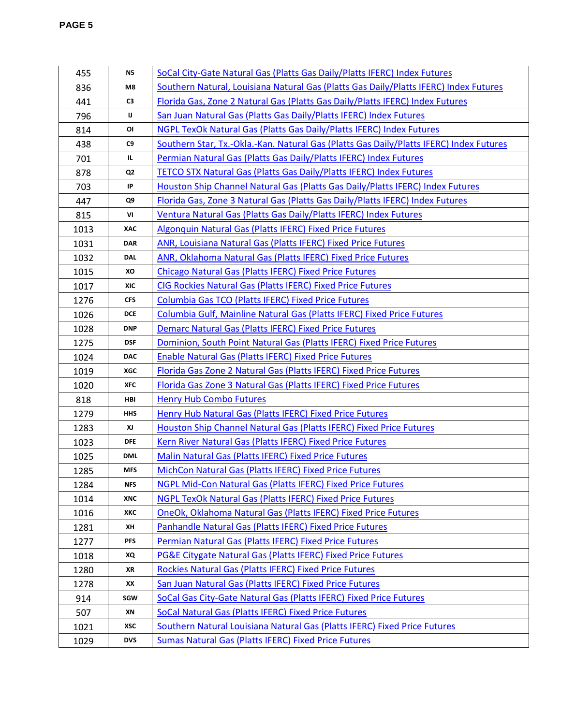| 455  | <b>N5</b>      | SoCal City-Gate Natural Gas (Platts Gas Daily/Platts IFERC) Index Futures               |
|------|----------------|-----------------------------------------------------------------------------------------|
| 836  | M8             | Southern Natural, Louisiana Natural Gas (Platts Gas Daily/Platts IFERC) Index Futures   |
| 441  | C3             | Florida Gas, Zone 2 Natural Gas (Platts Gas Daily/Platts IFERC) Index Futures           |
| 796  | IJ             | San Juan Natural Gas (Platts Gas Daily/Platts IFERC) Index Futures                      |
| 814  | OI             | NGPL TexOk Natural Gas (Platts Gas Daily/Platts IFERC) Index Futures                    |
| 438  | C <sub>9</sub> | Southern Star, Tx.-Okla.-Kan. Natural Gas (Platts Gas Daily/Platts IFERC) Index Futures |
| 701  | IL.            | Permian Natural Gas (Platts Gas Daily/Platts IFERC) Index Futures                       |
| 878  | Q <sub>2</sub> | <b>TETCO STX Natural Gas (Platts Gas Daily/Platts IFERC) Index Futures</b>              |
| 703  | IP             | Houston Ship Channel Natural Gas (Platts Gas Daily/Platts IFERC) Index Futures          |
| 447  | Q9             | Florida Gas, Zone 3 Natural Gas (Platts Gas Daily/Platts IFERC) Index Futures           |
| 815  | VI             | Ventura Natural Gas (Platts Gas Daily/Platts IFERC) Index Futures                       |
| 1013 | XAC            | <b>Algonquin Natural Gas (Platts IFERC) Fixed Price Futures</b>                         |
| 1031 | <b>DAR</b>     | ANR, Louisiana Natural Gas (Platts IFERC) Fixed Price Futures                           |
| 1032 | <b>DAL</b>     | ANR, Oklahoma Natural Gas (Platts IFERC) Fixed Price Futures                            |
| 1015 | ХO             | <b>Chicago Natural Gas (Platts IFERC) Fixed Price Futures</b>                           |
| 1017 | <b>XIC</b>     | CIG Rockies Natural Gas (Platts IFERC) Fixed Price Futures                              |
| 1276 | <b>CFS</b>     | Columbia Gas TCO (Platts IFERC) Fixed Price Futures                                     |
| 1026 | <b>DCE</b>     | Columbia Gulf, Mainline Natural Gas (Platts IFERC) Fixed Price Futures                  |
| 1028 | <b>DNP</b>     | Demarc Natural Gas (Platts IFERC) Fixed Price Futures                                   |
| 1275 | <b>DSF</b>     | Dominion, South Point Natural Gas (Platts IFERC) Fixed Price Futures                    |
| 1024 | <b>DAC</b>     | <b>Enable Natural Gas (Platts IFERC) Fixed Price Futures</b>                            |
| 1019 | <b>XGC</b>     | Florida Gas Zone 2 Natural Gas (Platts IFERC) Fixed Price Futures                       |
| 1020 | <b>XFC</b>     | Florida Gas Zone 3 Natural Gas (Platts IFERC) Fixed Price Futures                       |
| 818  | HBI            | <b>Henry Hub Combo Futures</b>                                                          |
| 1279 | <b>HHS</b>     | Henry Hub Natural Gas (Platts IFERC) Fixed Price Futures                                |
| 1283 | XJ             | Houston Ship Channel Natural Gas (Platts IFERC) Fixed Price Futures                     |
| 1023 | DFE            | Kern River Natural Gas (Platts IFERC) Fixed Price Futures                               |
| 1025 | <b>DML</b>     | <b>Malin Natural Gas (Platts IFERC) Fixed Price Futures</b>                             |
| 1285 | <b>MFS</b>     | MichCon Natural Gas (Platts IFERC) Fixed Price Futures                                  |
| 1284 | <b>NFS</b>     | NGPL Mid-Con Natural Gas (Platts IFERC) Fixed Price Futures                             |
| 1014 | <b>XNC</b>     | NGPL TexOk Natural Gas (Platts IFERC) Fixed Price Futures                               |
| 1016 | XKC            | OneOk, Oklahoma Natural Gas (Platts IFERC) Fixed Price Futures                          |
| 1281 | ХH             | Panhandle Natural Gas (Platts IFERC) Fixed Price Futures                                |
| 1277 | <b>PFS</b>     | Permian Natural Gas (Platts IFERC) Fixed Price Futures                                  |
| 1018 | XQ             | <b>PG&amp;E Citygate Natural Gas (Platts IFERC) Fixed Price Futures</b>                 |
| 1280 | XR             | Rockies Natural Gas (Platts IFERC) Fixed Price Futures                                  |
| 1278 | XХ             | San Juan Natural Gas (Platts IFERC) Fixed Price Futures                                 |
| 914  | SGW            | SoCal Gas City-Gate Natural Gas (Platts IFERC) Fixed Price Futures                      |
| 507  | ΧN             | SoCal Natural Gas (Platts IFERC) Fixed Price Futures                                    |
| 1021 | XSC            | Southern Natural Louisiana Natural Gas (Platts IFERC) Fixed Price Futures               |
| 1029 | <b>DVS</b>     | <b>Sumas Natural Gas (Platts IFERC) Fixed Price Futures</b>                             |